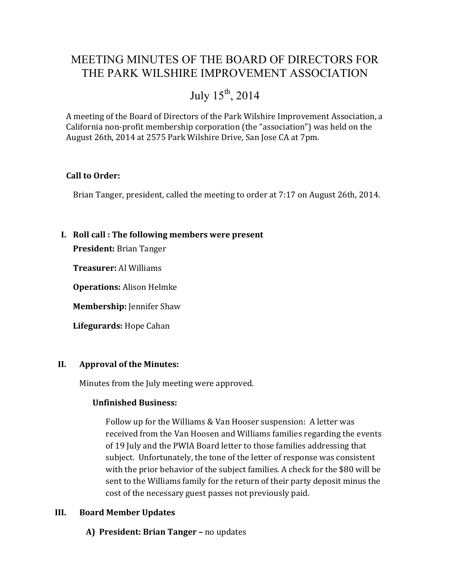# MEETING MINUTES OF THE BOARD OF DIRECTORS FOR THE PARK WILSHIRE IMPROVEMENT ASSOCIATION

# July  $15^{th}$ , 2014

A meeting of the Board of Directors of the Park Wilshire Improvement Association, a California non-profit membership corporation (the "association") was held on the August 26th, 2014 at 2575 Park Wilshire Drive, San Jose CA at 7pm.

#### **Call to Order:**

Brian Tanger, president, called the meeting to order at 7:17 on August 26th, 2014.

#### **I. Roll call : The following members were present**

**President:** Brian Tanger

**Treasurer:** Al Williams

**Operations:** Alison Helmke

**Membership:** Jennifer Shaw

**Lifegurards:** Hope Cahan

#### **II. Approval of the Minutes:**

Minutes from the July meeting were approved.

#### **Unfinished Business:**

Follow up for the Williams & Van Hooser suspension: A letter was received from the Van Hoosen and Williams families regarding the events of 19 July and the PWIA Board letter to those families addressing that subject. Unfortunately, the tone of the letter of response was consistent with the prior behavior of the subject families. A check for the \$80 will be sent to the Williams family for the return of their party deposit minus the cost of the necessary guest passes not previously paid.

#### **III. Board Member Updates**

**A) President: Brian Tanger –** no updates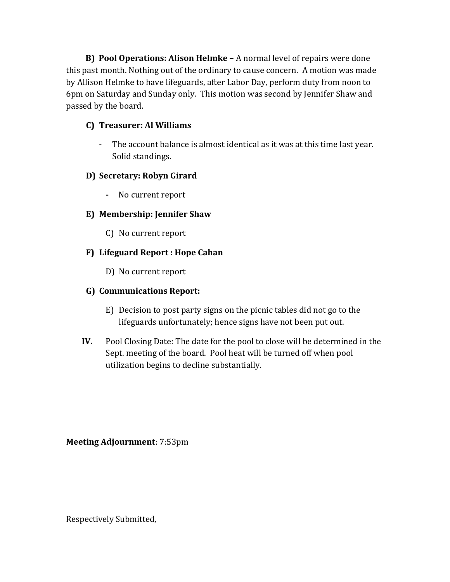**B) Pool Operations: Alison Helmke –** A normal level of repairs were done this past month. Nothing out of the ordinary to cause concern. A motion was made by Allison Helmke to have lifeguards, after Labor Day, perform duty from noon to 6pm on Saturday and Sunday only. This motion was second by Jennifer Shaw and passed by the board.

#### **C) Treasurer: Al Williams**

- The account balance is almost identical as it was at this time last year. Solid standings.

# **D) Secretary: Robyn Girard**

**-** No current report

# **E) Membership: Jennifer Shaw**

C) No current report

## **F) Lifeguard Report : Hope Cahan**

D) No current report

## **G) Communications Report:**

- E) Decision to post party signs on the picnic tables did not go to the lifeguards unfortunately; hence signs have not been put out.
- **IV.** Pool Closing Date: The date for the pool to close will be determined in the Sept. meeting of the board. Pool heat will be turned off when pool utilization begins to decline substantially.

**Meeting Adjournment**: 7:53pm

Respectively Submitted,